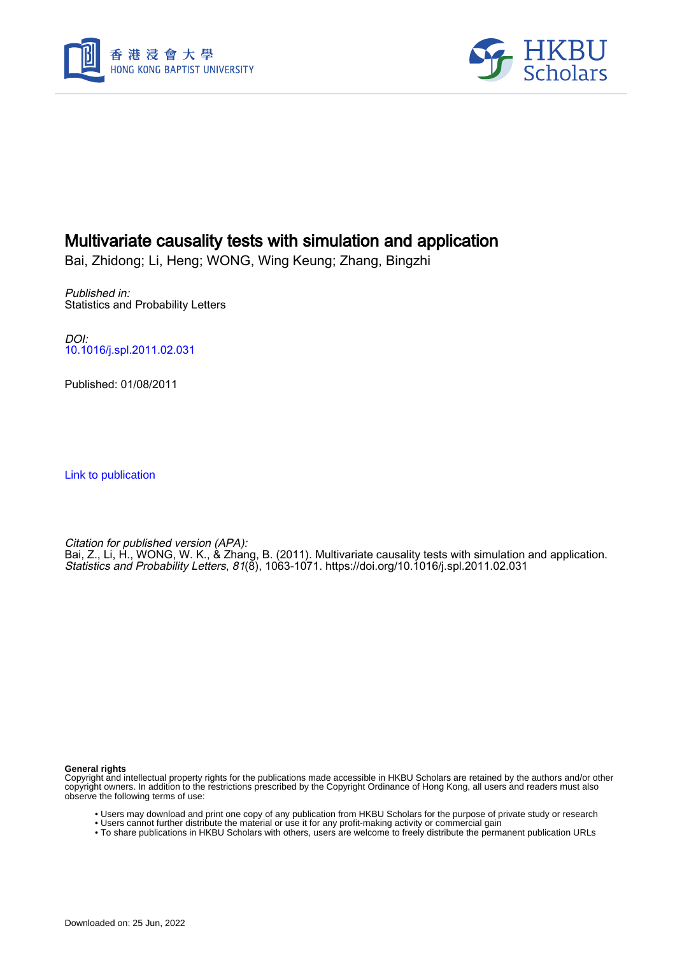



#### Multivariate causality tests with simulation and application

Bai, Zhidong; Li, Heng; WONG, Wing Keung; Zhang, Bingzhi

Published in: Statistics and Probability Letters

DOI: [10.1016/j.spl.2011.02.031](https://doi.org/10.1016/j.spl.2011.02.031)

Published: 01/08/2011

[Link to publication](https://scholars.hkbu.edu.hk/en/publications/68719883-7c61-4f0a-988c-b9091cafdd28)

Citation for published version (APA): Bai, Z., Li, H., WONG, W. K., & Zhang, B. (2011). Multivariate causality tests with simulation and application. Statistics and Probability Letters, 81(8), 1063-1071. <https://doi.org/10.1016/j.spl.2011.02.031>

**General rights**

Copyright and intellectual property rights for the publications made accessible in HKBU Scholars are retained by the authors and/or other copyright owners. In addition to the restrictions prescribed by the Copyright Ordinance of Hong Kong, all users and readers must also observe the following terms of use:

- Users may download and print one copy of any publication from HKBU Scholars for the purpose of private study or research
- Users cannot further distribute the material or use it for any profit-making activity or commercial gain
- To share publications in HKBU Scholars with others, users are welcome to freely distribute the permanent publication URLs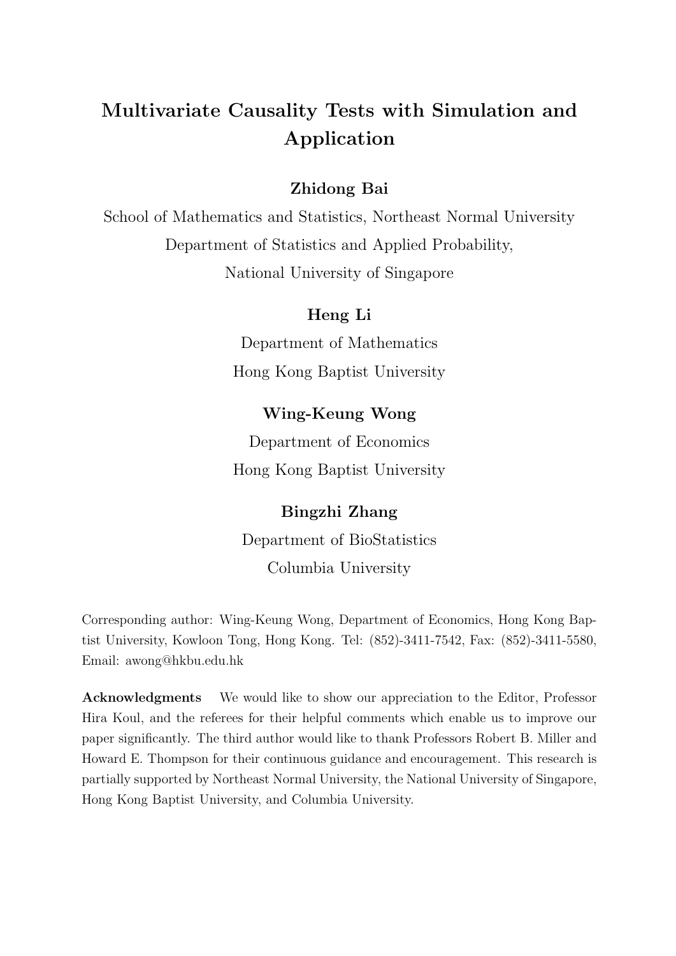# Multivariate Causality Tests with Simulation and Application

# Zhidong Bai

School of Mathematics and Statistics, Northeast Normal University Department of Statistics and Applied Probability, National University of Singapore

### Heng Li

Department of Mathematics Hong Kong Baptist University

# Wing-Keung Wong

Department of Economics Hong Kong Baptist University

# Bingzhi Zhang

Department of BioStatistics Columbia University

Corresponding author: Wing-Keung Wong, Department of Economics, Hong Kong Baptist University, Kowloon Tong, Hong Kong. Tel: (852)-3411-7542, Fax: (852)-3411-5580, Email: awong@hkbu.edu.hk

Acknowledgments We would like to show our appreciation to the Editor, Professor Hira Koul, and the referees for their helpful comments which enable us to improve our paper significantly. The third author would like to thank Professors Robert B. Miller and Howard E. Thompson for their continuous guidance and encouragement. This research is partially supported by Northeast Normal University, the National University of Singapore, Hong Kong Baptist University, and Columbia University.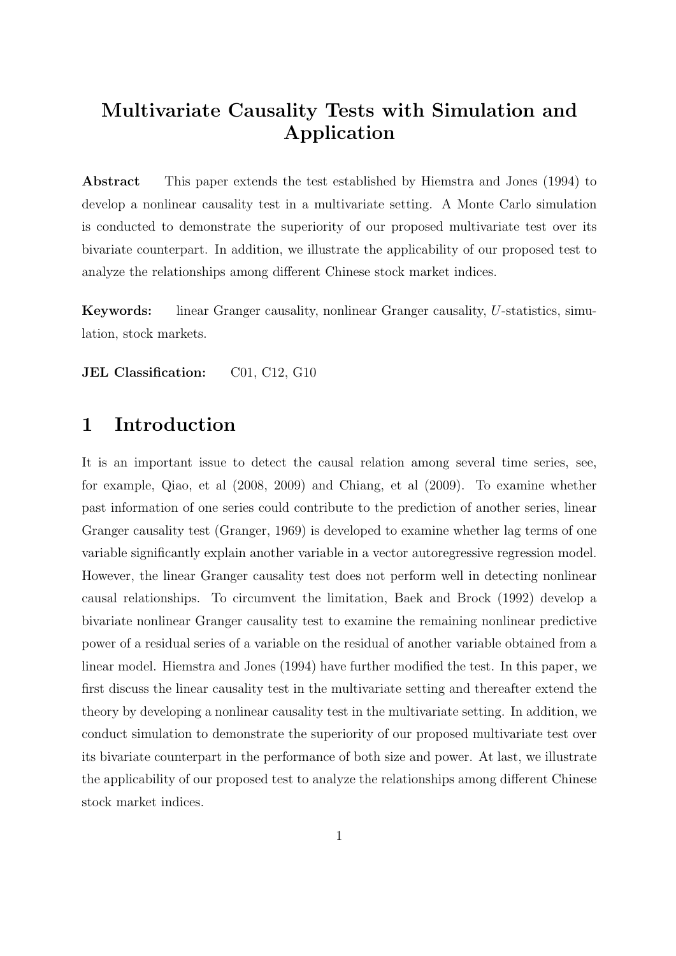# Multivariate Causality Tests with Simulation and Application

Abstract This paper extends the test established by Hiemstra and Jones (1994) to develop a nonlinear causality test in a multivariate setting. A Monte Carlo simulation is conducted to demonstrate the superiority of our proposed multivariate test over its bivariate counterpart. In addition, we illustrate the applicability of our proposed test to analyze the relationships among different Chinese stock market indices.

Keywords: linear Granger causality, nonlinear Granger causality, U-statistics, simulation, stock markets.

JEL Classification: C01, C12, G10

# 1 Introduction

It is an important issue to detect the causal relation among several time series, see, for example, Qiao, et al (2008, 2009) and Chiang, et al (2009). To examine whether past information of one series could contribute to the prediction of another series, linear Granger causality test (Granger, 1969) is developed to examine whether lag terms of one variable significantly explain another variable in a vector autoregressive regression model. However, the linear Granger causality test does not perform well in detecting nonlinear causal relationships. To circumvent the limitation, Baek and Brock (1992) develop a bivariate nonlinear Granger causality test to examine the remaining nonlinear predictive power of a residual series of a variable on the residual of another variable obtained from a linear model. Hiemstra and Jones (1994) have further modified the test. In this paper, we first discuss the linear causality test in the multivariate setting and thereafter extend the theory by developing a nonlinear causality test in the multivariate setting. In addition, we conduct simulation to demonstrate the superiority of our proposed multivariate test over its bivariate counterpart in the performance of both size and power. At last, we illustrate the applicability of our proposed test to analyze the relationships among different Chinese stock market indices.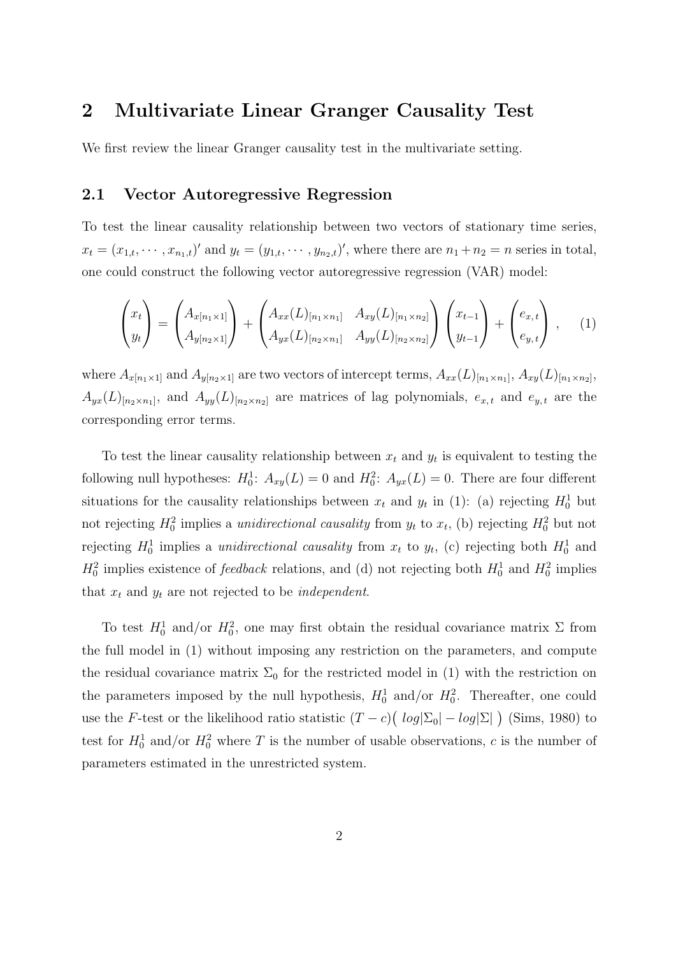# 2 Multivariate Linear Granger Causality Test

We first review the linear Granger causality test in the multivariate setting.

#### 2.1 Vector Autoregressive Regression

To test the linear causality relationship between two vectors of stationary time series,  $x_t = (x_{1,t}, \dots, x_{n_1,t})'$  and  $y_t = (y_{1,t}, \dots, y_{n_2,t})'$ , where there are  $n_1 + n_2 = n$  series in total, one could construct the following vector autoregressive regression (VAR) model:

$$
\begin{pmatrix} x_t \\ y_t \end{pmatrix} = \begin{pmatrix} A_{x[n_1 \times 1]} \\ A_{y[n_2 \times 1]} \end{pmatrix} + \begin{pmatrix} A_{xx}(L)_{[n_1 \times n_1]} & A_{xy}(L)_{[n_1 \times n_2]} \\ A_{yx}(L)_{[n_2 \times n_1]} & A_{yy}(L)_{[n_2 \times n_2]} \end{pmatrix} \begin{pmatrix} x_{t-1} \\ y_{t-1} \end{pmatrix} + \begin{pmatrix} e_{x,t} \\ e_{y,t} \end{pmatrix}, \quad (1)
$$

where  $A_{x[n_1\times1]}$  and  $A_{y[n_2\times1]}$  are two vectors of intercept terms,  $A_{xx}(L)_{[n_1\times n_1]}$ ,  $A_{xy}(L)_{[n_1\times n_2]}$ ,  $A_{yx}(L)_{[n_2\times n_1]},$  and  $A_{yy}(L)_{[n_2\times n_2]}$  are matrices of lag polynomials,  $e_{x,t}$  and  $e_{y,t}$  are the corresponding error terms.

To test the linear causality relationship between  $x_t$  and  $y_t$  is equivalent to testing the following null hypotheses:  $H_0^1$ :  $A_{xy}(L) = 0$  and  $H_0^2$ :  $A_{yx}(L) = 0$ . There are four different situations for the causality relationships between  $x_t$  and  $y_t$  in (1): (a) rejecting  $H_0^1$  but not rejecting  $H_0^2$  implies a *unidirectional causality* from  $y_t$  to  $x_t$ , (b) rejecting  $H_0^2$  but not rejecting  $H_0^1$  implies a *unidirectional causality* from  $x_t$  to  $y_t$ , (c) rejecting both  $H_0^1$  and  $H_0^2$  implies existence of *feedback* relations, and (d) not rejecting both  $H_0^1$  and  $H_0^2$  implies that  $x_t$  and  $y_t$  are not rejected to be *independent*.

To test  $H_0^1$  and/or  $H_0^2$ , one may first obtain the residual covariance matrix  $\Sigma$  from the full model in (1) without imposing any restriction on the parameters, and compute the residual covariance matrix  $\Sigma_0$  for the restricted model in (1) with the restriction on the parameters imposed by the null hypothesis,  $H_0^1$  and/or  $H_0^2$ . Thereafter, one could use the F-test or the likelihood ratio statistic  $(T - c)$ ¡  $log|\Sigma_0| - log|\Sigma|$ ¢ (Sims, 1980) to test for  $H_0^1$  and/or  $H_0^2$  where T is the number of usable observations, c is the number of parameters estimated in the unrestricted system.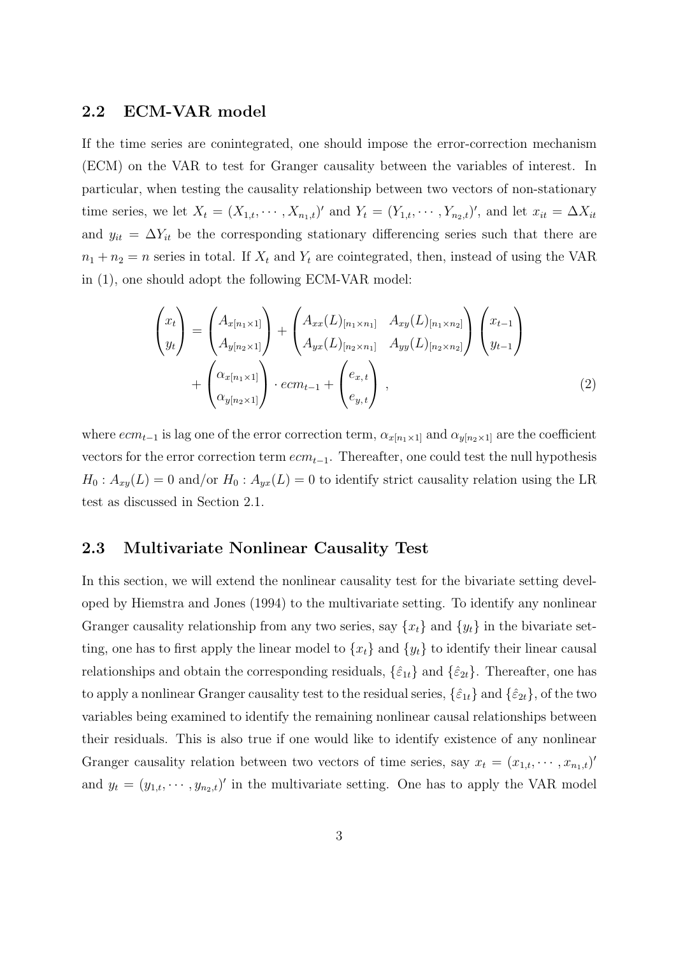#### 2.2 ECM-VAR model

If the time series are conintegrated, one should impose the error-correction mechanism (ECM) on the VAR to test for Granger causality between the variables of interest. In particular, when testing the causality relationship between two vectors of non-stationary time series, we let  $X_t = (X_{1,t}, \cdots, X_{n_1,t})'$  and  $Y_t = (Y_{1,t}, \cdots, Y_{n_2,t})'$ , and let  $x_{it} = \Delta X_{it}$ and  $y_{it} = \Delta Y_{it}$  be the corresponding stationary differencing series such that there are  $n_1 + n_2 = n$  series in total. If  $X_t$  and  $Y_t$  are cointegrated, then, instead of using the VAR in (1), one should adopt the following ECM-VAR model:

$$
\begin{pmatrix} x_t \ y_t \end{pmatrix} = \begin{pmatrix} A_{x[n_1 \times 1]} \\ A_{y[n_2 \times 1]} \end{pmatrix} + \begin{pmatrix} A_{xx}(L)_{[n_1 \times n_1]} & A_{xy}(L)_{[n_1 \times n_2]} \\ A_{yx}(L)_{[n_2 \times n_1]} & A_{yy}(L)_{[n_2 \times n_2]} \end{pmatrix} \begin{pmatrix} x_{t-1} \\ y_{t-1} \end{pmatrix} + \begin{pmatrix} \alpha_{x[n_1 \times 1]} \\ \alpha_{y[n_2 \times 1]} \end{pmatrix} \cdot ecm_{t-1} + \begin{pmatrix} e_{x,t} \\ e_{y,t} \end{pmatrix} , \qquad (2)
$$

where  $ecm_{t-1}$  is lag one of the error correction term,  $\alpha_{x[n_1\times1]}$  and  $\alpha_{y[n_2\times1]}$  are the coefficient vectors for the error correction term  $ecm_{t-1}$ . Thereafter, one could test the null hypothesis  $H_0: A_{xy}(L) = 0$  and/or  $H_0: A_{yx}(L) = 0$  to identify strict causality relation using the LR test as discussed in Section 2.1.

#### 2.3 Multivariate Nonlinear Causality Test

In this section, we will extend the nonlinear causality test for the bivariate setting developed by Hiemstra and Jones (1994) to the multivariate setting. To identify any nonlinear Granger causality relationship from any two series, say  $\{x_t\}$  and  $\{y_t\}$  in the bivariate setting, one has to first apply the linear model to  $\{x_t\}$  and  $\{y_t\}$  to identify their linear causal relationships and obtain the corresponding residuals,  $\{\hat{\varepsilon}_{1t}\}\$  and  $\{\hat{\varepsilon}_{2t}\}\$ . Thereafter, one has to apply a nonlinear Granger causality test to the residual series,  $\{\hat{\varepsilon}_{1t}\}\$  and  $\{\hat{\varepsilon}_{2t}\}\$ , of the two variables being examined to identify the remaining nonlinear causal relationships between their residuals. This is also true if one would like to identify existence of any nonlinear Granger causality relation between two vectors of time series, say  $x_t = (x_{1,t}, \dots, x_{n_1,t})'$ and  $y_t = (y_{1,t}, \dots, y_{n_2,t})'$  in the multivariate setting. One has to apply the VAR model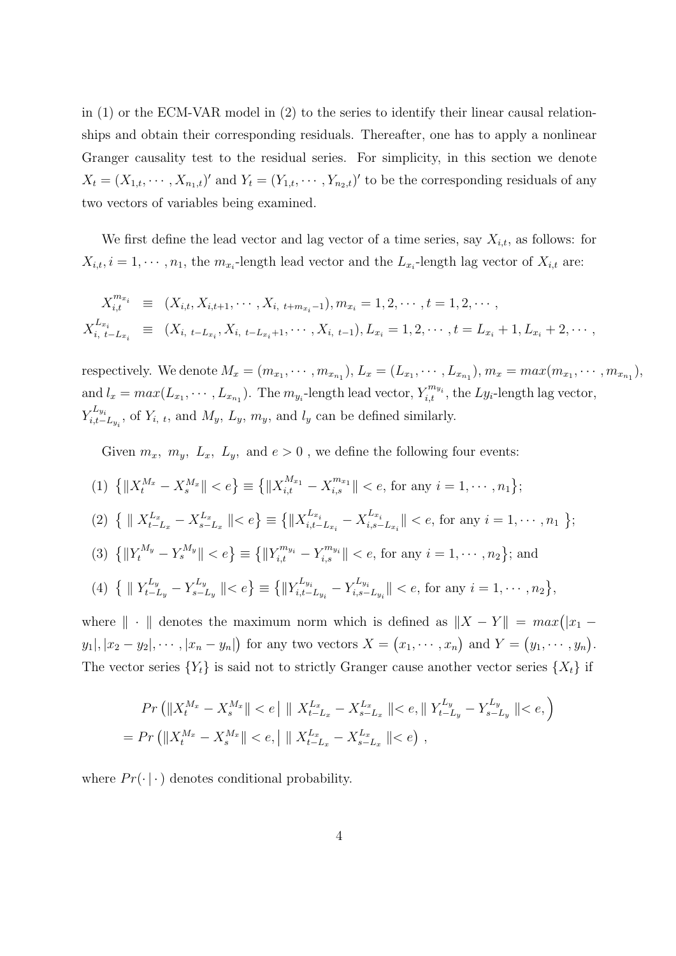in (1) or the ECM-VAR model in (2) to the series to identify their linear causal relationships and obtain their corresponding residuals. Thereafter, one has to apply a nonlinear Granger causality test to the residual series. For simplicity, in this section we denote  $X_t = (X_{1,t}, \dots, X_{n_1,t})'$  and  $Y_t = (Y_{1,t}, \dots, Y_{n_2,t})'$  to be the corresponding residuals of any two vectors of variables being examined.

We first define the lead vector and lag vector of a time series, say  $X_{i,t}$ , as follows: for  $X_{i,t}$ ,  $i = 1, \dots, n_1$ , the  $m_{x_i}$ -length lead vector and the  $L_{x_i}$ -length lag vector of  $X_{i,t}$  are:

$$
X_{i,t}^{m_{x_i}} \equiv (X_{i,t}, X_{i,t+1}, \cdots, X_{i, t+m_{x_i}-1}), m_{x_i} = 1, 2, \cdots, t = 1, 2, \cdots,
$$
  
\n
$$
X_{i, t-L_{x_i}}^{L_{x_i}} \equiv (X_{i, t-L_{x_i}}, X_{i, t-L_{x_i}+1}, \cdots, X_{i, t-1}), L_{x_i} = 1, 2, \cdots, t = L_{x_i} + 1, L_{x_i} + 2, \cdots,
$$

respectively. We denote  $M_x = (m_{x_1}, \dots, m_{x_{n_1}}), L_x = (L_{x_1}, \dots, L_{x_{n_1}}), m_x = max(m_{x_1}, \dots, m_{x_{n_1}}),$ and  $l_x = max(L_{x_1}, \dots, L_{x_{n_1}})$ . The  $m_{y_i}$ -length lead vector,  $Y_{i,t}^{m_{y_i}}$ , the  $Ly_i$ -length lag vector,  $Y_i^{L_{y_i}}$  $\sum_{i,t-L_{y_i}}^{\mathcal{L}_{y_i}}$ , of  $Y_{i, t}$ , and  $M_y, L_y, m_y$ , and  $l_y$  can be defined similarly.

Given  $m_x$ ,  $m_y$ ,  $L_x$ ,  $L_y$ , and  $e > 0$ , we define the following four events:

$$
(1) \{\|X_t^{M_x} - X_s^{M_x}\| < e\} \equiv \{\|X_{i,t}^{M_{x_1}} - X_{i,s}^{m_{x_1}}\| < e \text{, for any } i = 1, \cdots, n_1\};
$$

$$
(2) \ \{ \parallel X_{t-L_x}^{L_x} - X_{s-L_x}^{L_x} \parallel < e \} \equiv \{ \parallel X_{i,t-L_{x_i}}^{L_{x_i}} - X_{i,s-L_{x_i}}^{L_{x_i}} \parallel < e, \text{ for any } i = 1, \cdots, n_1 \};
$$

$$
(3) \{\|Y_t^{M_y} - Y_s^{M_y}\| < e\} \equiv \{\|Y_{i,t}^{m_{y_i}} - Y_{i,s}^{m_{y_i}}\| < e \text{, for any } i = 1, \cdots, n_2\}; \text{ and}
$$

(4) 
$$
\{ ||Y_{t-L_y}^{L_y} - Y_{s-L_y}^{L_y}|| < e \} \equiv \{ ||Y_{i,t-L_{y_i}}^{L_{y_i}} - Y_{i,s-L_{y_i}}^{L_{y_i}}|| < e
$$
, for any  $i = 1, \dots, n_2 \}$ ,

where  $\|\cdot\|$  denotes the maximum norm which is defined as  $\|X - Y\| = max(|x_1 - y_2|)$  $y_1, |x_2 - y_2|, \cdots, |x_n - y_n|$ ¢ for any two vectors  $X =$ ¡  $x_1, \cdots, x_n$  $\frac{1}{\sqrt{2}}$ and  $Y =$ ¡  $y_1, \cdots, y_n$ ¢ . The vector series  ${Y_t}$  is said not to strictly Granger cause another vector series  ${X_t}$  if

$$
Pr\left(\|X_t^{M_x} - X_s^{M_x}\| < e\right| \|\ X_{t-L_x}^{L_x} - X_{s-L_x}^{L_x}\| < e, \|\ Y_{t-L_y}^{L_y} - Y_{s-L_y}^{L_y}\| < e, \right)
$$
\n
$$
= Pr\left(\|X_t^{M_x} - X_s^{M_x}\| < e, \|\ X_{t-L_x}^{L_x} - X_{s-L_x}^{L_x}\| < e\right),
$$

where  $Pr(\cdot | \cdot)$  denotes conditional probability.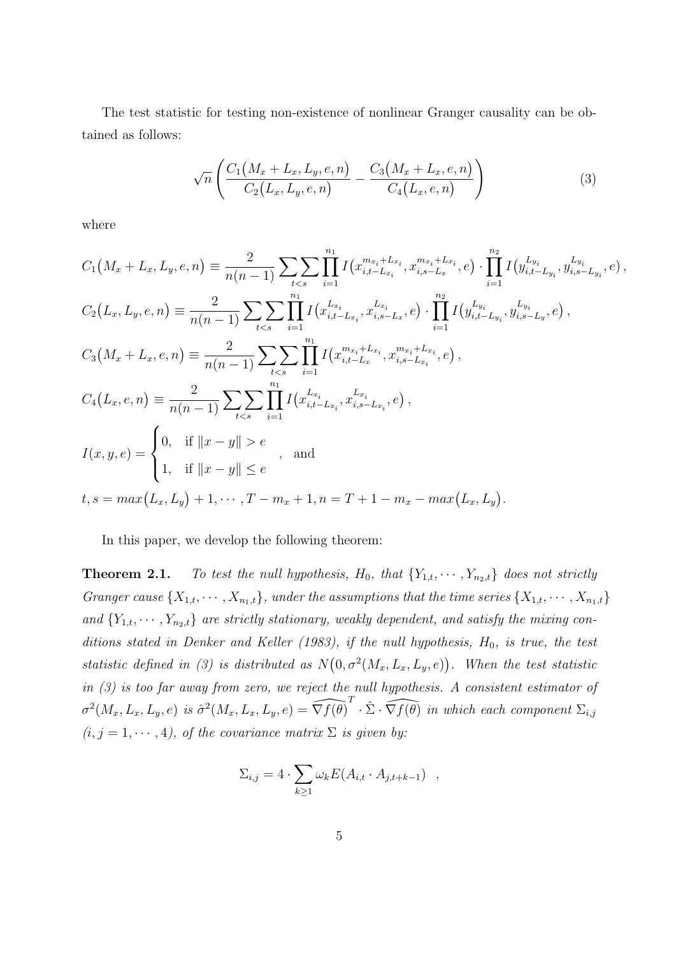The test statistic for testing non-existence of nonlinear Granger causality can be obtained as follows:

$$
\sqrt{n}\left(\frac{C_1(M_x+L_x,L_y,e,n)}{C_2(L_x,L_y,e,n)}-\frac{C_3(M_x+L_x,e,n)}{C_4(L_x,e,n)}\right)
$$
(3)

where

$$
C_{1}(M_{x}+L_{x},L_{y},e,n) \equiv \frac{2}{n(n-1)} \sum_{t  
\n
$$
C_{2}(L_{x},L_{y},e,n) \equiv \frac{2}{n(n-1)} \sum_{t  
\n
$$
C_{3}(M_{x}+L_{x},e,n) \equiv \frac{2}{n(n-1)} \sum_{t  
\n
$$
C_{4}(L_{x},e,n) \equiv \frac{2}{n(n-1)} \sum_{t  
\n
$$
I(x,y,e) = \begin{cases} 0, & \text{if } ||x-y|| > e \\ 1, & \text{if } ||x-y|| \le e \end{cases}, \text{ and} \begin{cases} 1, & \text{if } ||x-y|| \le e \\ 1, & \text{if } ||x-y|| \le e \end{cases},
$$
$$
$$
$$
$$

In this paper, we develop the following theorem:

**Theorem 2.1.** To test the null hypothesis,  $H_0$ , that  $\{Y_{1,t}, \dots, Y_{n_2,t}\}$  does not strictly Granger cause  $\{X_{1,t}, \cdots, X_{n_1,t}\}$ , under the assumptions that the time series  $\{X_{1,t}, \cdots, X_{n_1,t}\}$ and  $\{Y_{1,t},\cdots,Y_{n_2,t}\}$  are strictly stationary, weakly dependent, and satisfy the mixing conditions stated in Denker and Keller (1983), if the null hypothesis,  $H_0$ , is true, the test statistic defined in (3) is distributed as N  $\frac{7}{1}$  $0, \sigma^2(M_x, L_x, L_y, e)$ ¢ . When the test statistic in (3) is too far away from zero, we reject the null hypothesis. A consistent estimator of  $\sigma^2(M_x, L_x, L_y, e)$  is  $\hat{\sigma}^2(M_x, L_x, L_y, e) = \widehat{\nabla f(\theta)}^T \cdot \hat{\Sigma} \cdot \widehat{\nabla f(\theta)}$  in which each component  $\Sigma_{i,j}$  $(i, j = 1, \dots, 4)$ , of the covariance matrix  $\Sigma$  is given by:

$$
\Sigma_{i,j} = 4 \cdot \sum_{k \ge 1} \omega_k E(A_{i,t} \cdot A_{j,t+k-1}) \quad ,
$$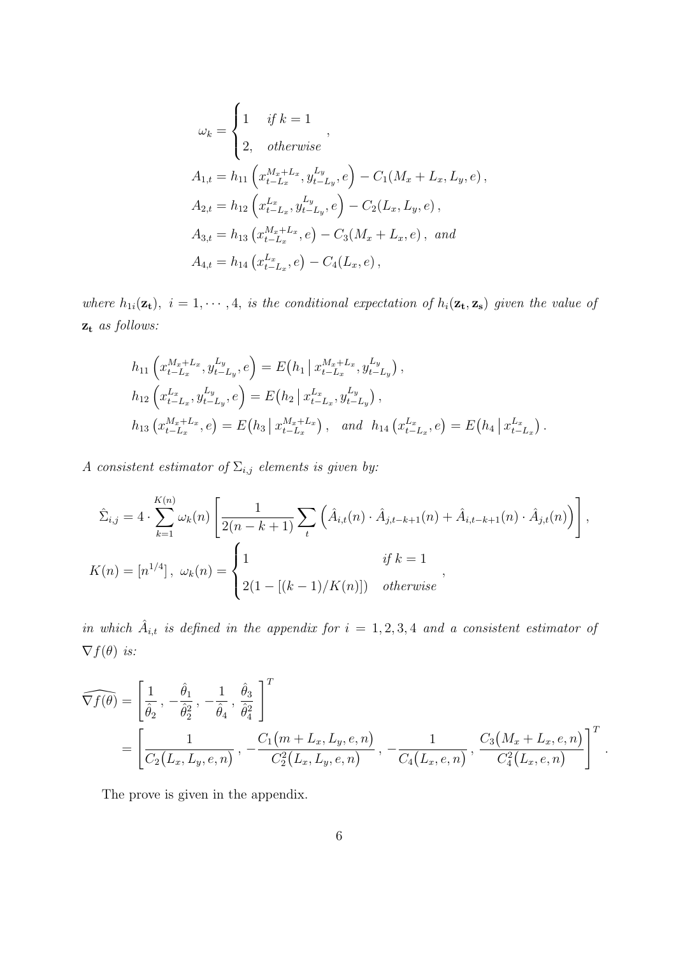$$
\omega_k = \begin{cases}\n1 & \text{if } k = 1 \\
2, & \text{otherwise}\n\end{cases},
$$
\n
$$
A_{1,t} = h_{11}\left(x_{t-L_x}^{M_x + L_x}, y_{t-L_y}^{L_y}, e\right) - C_1(M_x + L_x, L_y, e),
$$
\n
$$
A_{2,t} = h_{12}\left(x_{t-L_x}^{L_x}, y_{t-L_y}^{L_y}, e\right) - C_2(L_x, L_y, e),
$$
\n
$$
A_{3,t} = h_{13}\left(x_{t-L_x}^{M_x + L_x}, e\right) - C_3(M_x + L_x, e), \text{ and}
$$
\n
$$
A_{4,t} = h_{14}\left(x_{t-L_x}^{L_x}, e\right) - C_4(L_x, e),
$$

where  $h_{1i}(\mathbf{z_t}), i = 1, \cdots, 4$ , is the conditional expectation of  $h_i(\mathbf{z_t}, \mathbf{z_s})$  given the value of  $\mathbf{z_t}$  as follows:

$$
h_{11}\left(x_{t-L_x}^{M_x+L_x}, y_{t-L_y}^{L_y}, e\right) = E\left(h_1 \mid x_{t-L_x}^{M_x+L_x}, y_{t-L_y}^{L_y}\right),
$$
  
\n
$$
h_{12}\left(x_{t-L_x}^{L_x}, y_{t-L_y}^{L_y}, e\right) = E\left(h_2 \mid x_{t-L_x}^{L_x}, y_{t-L_y}^{L_y}\right),
$$
  
\n
$$
h_{13}\left(x_{t-L_x}^{M_x+L_x}, e\right) = E\left(h_3 \mid x_{t-L_x}^{M_x+L_x}\right), \text{ and } h_{14}\left(x_{t-L_x}^{L_x}, e\right) = E\left(h_4 \mid x_{t-L_x}^{L_x}\right).
$$

A consistent estimator of  $\Sigma_{i,j}$  elements is given by:

$$
\hat{\Sigma}_{i,j} = 4 \cdot \sum_{k=1}^{K(n)} \omega_k(n) \left[ \frac{1}{2(n-k+1)} \sum_t \left( \hat{A}_{i,t}(n) \cdot \hat{A}_{j,t-k+1}(n) + \hat{A}_{i,t-k+1}(n) \cdot \hat{A}_{j,t}(n) \right) \right],
$$
  

$$
K(n) = [n^{1/4}], \ \omega_k(n) = \begin{cases} 1 & \text{if } k = 1 \\ 2(1 - [(k-1)/K(n)]) & \text{otherwise} \end{cases}
$$

in which  $\hat{A}_{i,t}$  is defined in the appendix for  $i = 1, 2, 3, 4$  and a consistent estimator of  $\nabla f(\theta)$  is:

$$
\widehat{\nabla f(\theta)} = \left[ \frac{1}{\hat{\theta}_2}, -\frac{\hat{\theta}_1}{\hat{\theta}_2^2}, -\frac{1}{\hat{\theta}_4}, \frac{\hat{\theta}_3}{\hat{\theta}_4^2} \right]^T
$$
  
= 
$$
\left[ \frac{1}{C_2(L_x, L_y, e, n)}, -\frac{C_1(m + L_x, L_y, e, n)}{C_2^2(L_x, L_y, e, n)}, -\frac{1}{C_4(L_x, e, n)}, \frac{C_3(M_x + L_x, e, n)}{C_4^2(L_x, e, n)} \right]^T.
$$

The prove is given in the appendix.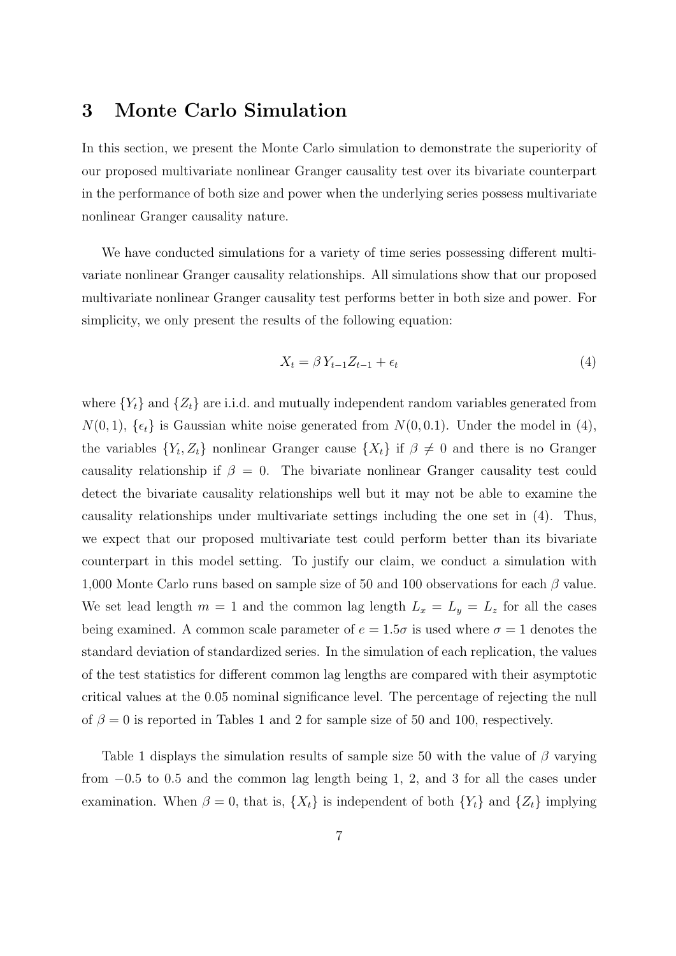# 3 Monte Carlo Simulation

In this section, we present the Monte Carlo simulation to demonstrate the superiority of our proposed multivariate nonlinear Granger causality test over its bivariate counterpart in the performance of both size and power when the underlying series possess multivariate nonlinear Granger causality nature.

We have conducted simulations for a variety of time series possessing different multivariate nonlinear Granger causality relationships. All simulations show that our proposed multivariate nonlinear Granger causality test performs better in both size and power. For simplicity, we only present the results of the following equation:

$$
X_t = \beta Y_{t-1} Z_{t-1} + \epsilon_t \tag{4}
$$

where  ${Y<sub>t</sub>}$  and  ${Z<sub>t</sub>}$  are i.i.d. and mutually independent random variables generated from  $N(0, 1)$ ,  $\{\epsilon_t\}$  is Gaussian white noise generated from  $N(0, 0.1)$ . Under the model in (4), the variables  $\{Y_t, Z_t\}$  nonlinear Granger cause  $\{X_t\}$  if  $\beta \neq 0$  and there is no Granger causality relationship if  $\beta = 0$ . The bivariate nonlinear Granger causality test could detect the bivariate causality relationships well but it may not be able to examine the causality relationships under multivariate settings including the one set in (4). Thus, we expect that our proposed multivariate test could perform better than its bivariate counterpart in this model setting. To justify our claim, we conduct a simulation with 1,000 Monte Carlo runs based on sample size of 50 and 100 observations for each  $\beta$  value. We set lead length  $m = 1$  and the common lag length  $L_x = L_y = L_z$  for all the cases being examined. A common scale parameter of  $e = 1.5\sigma$  is used where  $\sigma = 1$  denotes the standard deviation of standardized series. In the simulation of each replication, the values of the test statistics for different common lag lengths are compared with their asymptotic critical values at the 0.05 nominal significance level. The percentage of rejecting the null of  $\beta = 0$  is reported in Tables 1 and 2 for sample size of 50 and 100, respectively.

Table 1 displays the simulation results of sample size 50 with the value of  $\beta$  varying from −0.5 to 0.5 and the common lag length being 1, 2, and 3 for all the cases under examination. When  $\beta = 0$ , that is,  $\{X_t\}$  is independent of both  $\{Y_t\}$  and  $\{Z_t\}$  implying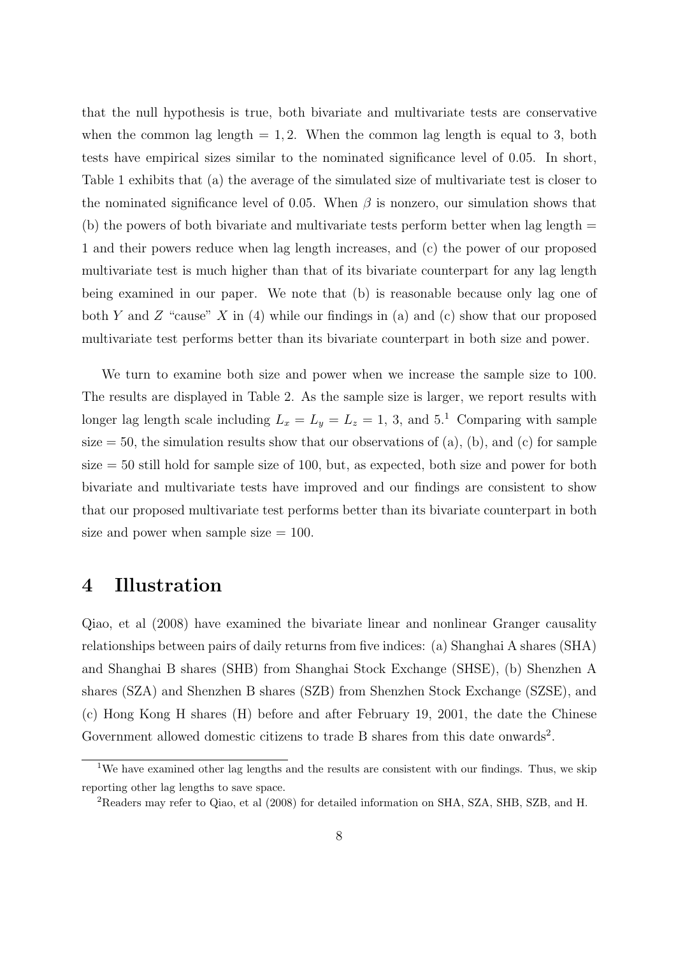that the null hypothesis is true, both bivariate and multivariate tests are conservative when the common lag length  $= 1, 2$ . When the common lag length is equal to 3, both tests have empirical sizes similar to the nominated significance level of 0.05. In short, Table 1 exhibits that (a) the average of the simulated size of multivariate test is closer to the nominated significance level of 0.05. When  $\beta$  is nonzero, our simulation shows that (b) the powers of both bivariate and multivariate tests perform better when lag length  $=$ 1 and their powers reduce when lag length increases, and (c) the power of our proposed multivariate test is much higher than that of its bivariate counterpart for any lag length being examined in our paper. We note that (b) is reasonable because only lag one of both Y and Z "cause" X in  $(4)$  while our findings in  $(a)$  and  $(c)$  show that our proposed multivariate test performs better than its bivariate counterpart in both size and power.

We turn to examine both size and power when we increase the sample size to 100. The results are displayed in Table 2. As the sample size is larger, we report results with longer lag length scale including  $L_x = L_y = L_z = 1, 3, \text{ and } 5.1$  Comparing with sample size  $= 50$ , the simulation results show that our observations of (a), (b), and (c) for sample  $size = 50$  still hold for sample size of 100, but, as expected, both size and power for both bivariate and multivariate tests have improved and our findings are consistent to show that our proposed multivariate test performs better than its bivariate counterpart in both size and power when sample size  $= 100$ .

### 4 Illustration

Qiao, et al (2008) have examined the bivariate linear and nonlinear Granger causality relationships between pairs of daily returns from five indices: (a) Shanghai A shares (SHA) and Shanghai B shares (SHB) from Shanghai Stock Exchange (SHSE), (b) Shenzhen A shares (SZA) and Shenzhen B shares (SZB) from Shenzhen Stock Exchange (SZSE), and (c) Hong Kong H shares (H) before and after February 19, 2001, the date the Chinese Government allowed domestic citizens to trade B shares from this date onwards<sup>2</sup>.

<sup>&</sup>lt;sup>1</sup>We have examined other lag lengths and the results are consistent with our findings. Thus, we skip reporting other lag lengths to save space.

<sup>2</sup>Readers may refer to Qiao, et al (2008) for detailed information on SHA, SZA, SHB, SZB, and H.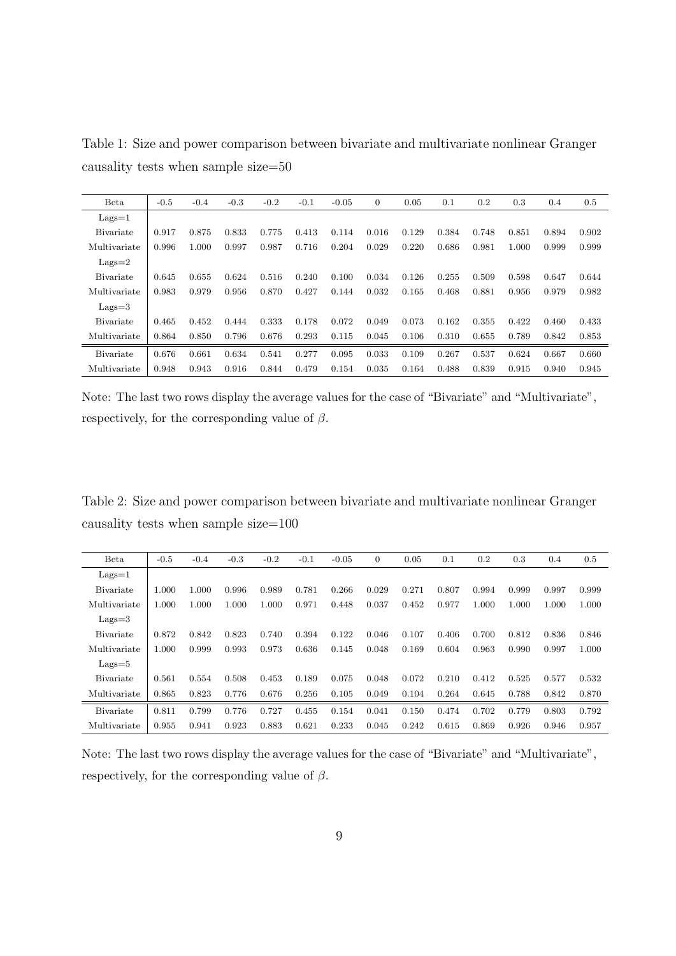| <b>Beta</b>       | $-0.5$ | $-0.4$ | $-0.3$ | $-0.2$ | $-0.1$ | $-0.05$ | $\boldsymbol{0}$ | 0.05  | 0.1   | 0.2   | 0.3   | 0.4   | 0.5   |
|-------------------|--------|--------|--------|--------|--------|---------|------------------|-------|-------|-------|-------|-------|-------|
| $Lags=1$          |        |        |        |        |        |         |                  |       |       |       |       |       |       |
| <b>B</b> ivariate | 0.917  | 0.875  | 0.833  | 0.775  | 0.413  | 0.114   | 0.016            | 0.129 | 0.384 | 0.748 | 0.851 | 0.894 | 0.902 |
| Multivariate      | 0.996  | 1.000  | 0.997  | 0.987  | 0.716  | 0.204   | 0.029            | 0.220 | 0.686 | 0.981 | 1.000 | 0.999 | 0.999 |
| $Lags=2$          |        |        |        |        |        |         |                  |       |       |       |       |       |       |
| <b>B</b> ivariate | 0.645  | 0.655  | 0.624  | 0.516  | 0.240  | 0.100   | 0.034            | 0.126 | 0.255 | 0.509 | 0.598 | 0.647 | 0.644 |
| Multivariate      | 0.983  | 0.979  | 0.956  | 0.870  | 0.427  | 0.144   | 0.032            | 0.165 | 0.468 | 0.881 | 0.956 | 0.979 | 0.982 |
| $Lags = 3$        |        |        |        |        |        |         |                  |       |       |       |       |       |       |
| <b>B</b> ivariate | 0.465  | 0.452  | 0.444  | 0.333  | 0.178  | 0.072   | 0.049            | 0.073 | 0.162 | 0.355 | 0.422 | 0.460 | 0.433 |
| Multivariate      | 0.864  | 0.850  | 0.796  | 0.676  | 0.293  | 0.115   | 0.045            | 0.106 | 0.310 | 0.655 | 0.789 | 0.842 | 0.853 |
| <b>B</b> ivariate | 0.676  | 0.661  | 0.634  | 0.541  | 0.277  | 0.095   | 0.033            | 0.109 | 0.267 | 0.537 | 0.624 | 0.667 | 0.660 |
| Multivariate      | 0.948  | 0.943  | 0.916  | 0.844  | 0.479  | 0.154   | 0.035            | 0.164 | 0.488 | 0.839 | 0.915 | 0.940 | 0.945 |

Table 1: Size and power comparison between bivariate and multivariate nonlinear Granger causality tests when sample size=50

Note: The last two rows display the average values for the case of "Bivariate" and "Multivariate", respectively, for the corresponding value of  $\beta$ .

Table 2: Size and power comparison between bivariate and multivariate nonlinear Granger causality tests when sample size=100

| <b>Beta</b>       | $-0.5$ | $-0.4$ | $-0.3$ | $-0.2$ | $-0.1$ | $-0.05$ | 0     | 0.05  | 0.1   | 0.2   | 0.3   | 0.4   | 0.5   |
|-------------------|--------|--------|--------|--------|--------|---------|-------|-------|-------|-------|-------|-------|-------|
| $Lags=1$          |        |        |        |        |        |         |       |       |       |       |       |       |       |
| <b>B</b> ivariate | 1.000  | 1.000  | 0.996  | 0.989  | 0.781  | 0.266   | 0.029 | 0.271 | 0.807 | 0.994 | 0.999 | 0.997 | 0.999 |
| Multivariate      | 1.000  | 1.000  | 1.000  | 1.000  | 0.971  | 0.448   | 0.037 | 0.452 | 0.977 | 1.000 | 1.000 | 1.000 | 1.000 |
| $Lags = 3$        |        |        |        |        |        |         |       |       |       |       |       |       |       |
| <b>B</b> ivariate | 0.872  | 0.842  | 0.823  | 0.740  | 0.394  | 0.122   | 0.046 | 0.107 | 0.406 | 0.700 | 0.812 | 0.836 | 0.846 |
| Multivariate      | 1.000  | 0.999  | 0.993  | 0.973  | 0.636  | 0.145   | 0.048 | 0.169 | 0.604 | 0.963 | 0.990 | 0.997 | 1.000 |
| $Lags=5$          |        |        |        |        |        |         |       |       |       |       |       |       |       |
| <b>B</b> ivariate | 0.561  | 0.554  | 0.508  | 0.453  | 0.189  | 0.075   | 0.048 | 0.072 | 0.210 | 0.412 | 0.525 | 0.577 | 0.532 |
| Multivariate      | 0.865  | 0.823  | 0.776  | 0.676  | 0.256  | 0.105   | 0.049 | 0.104 | 0.264 | 0.645 | 0.788 | 0.842 | 0.870 |
| <b>B</b> ivariate | 0.811  | 0.799  | 0.776  | 0.727  | 0.455  | 0.154   | 0.041 | 0.150 | 0.474 | 0.702 | 0.779 | 0.803 | 0.792 |
| Multivariate      | 0.955  | 0.941  | 0.923  | 0.883  | 0.621  | 0.233   | 0.045 | 0.242 | 0.615 | 0.869 | 0.926 | 0.946 | 0.957 |

Note: The last two rows display the average values for the case of "Bivariate" and "Multivariate", respectively, for the corresponding value of  $\beta$ .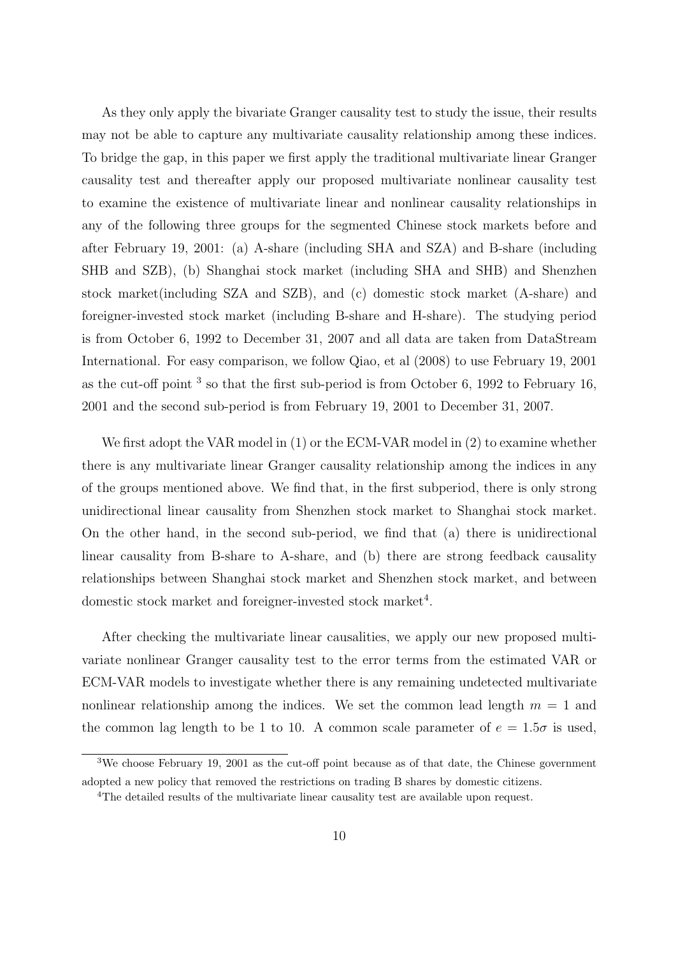As they only apply the bivariate Granger causality test to study the issue, their results may not be able to capture any multivariate causality relationship among these indices. To bridge the gap, in this paper we first apply the traditional multivariate linear Granger causality test and thereafter apply our proposed multivariate nonlinear causality test to examine the existence of multivariate linear and nonlinear causality relationships in any of the following three groups for the segmented Chinese stock markets before and after February 19, 2001: (a) A-share (including SHA and SZA) and B-share (including SHB and SZB), (b) Shanghai stock market (including SHA and SHB) and Shenzhen stock market(including SZA and SZB), and (c) domestic stock market (A-share) and foreigner-invested stock market (including B-share and H-share). The studying period is from October 6, 1992 to December 31, 2007 and all data are taken from DataStream International. For easy comparison, we follow Qiao, et al (2008) to use February 19, 2001 as the cut-off point  $3$  so that the first sub-period is from October 6, 1992 to February 16, 2001 and the second sub-period is from February 19, 2001 to December 31, 2007.

We first adopt the VAR model in (1) or the ECM-VAR model in (2) to examine whether there is any multivariate linear Granger causality relationship among the indices in any of the groups mentioned above. We find that, in the first subperiod, there is only strong unidirectional linear causality from Shenzhen stock market to Shanghai stock market. On the other hand, in the second sub-period, we find that (a) there is unidirectional linear causality from B-share to A-share, and (b) there are strong feedback causality relationships between Shanghai stock market and Shenzhen stock market, and between domestic stock market and foreigner-invested stock market<sup>4</sup>.

After checking the multivariate linear causalities, we apply our new proposed multivariate nonlinear Granger causality test to the error terms from the estimated VAR or ECM-VAR models to investigate whether there is any remaining undetected multivariate nonlinear relationship among the indices. We set the common lead length  $m = 1$  and the common lag length to be 1 to 10. A common scale parameter of  $e = 1.5\sigma$  is used,

<sup>3</sup>We choose February 19, 2001 as the cut-off point because as of that date, the Chinese government adopted a new policy that removed the restrictions on trading B shares by domestic citizens.

<sup>&</sup>lt;sup>4</sup>The detailed results of the multivariate linear causality test are available upon request.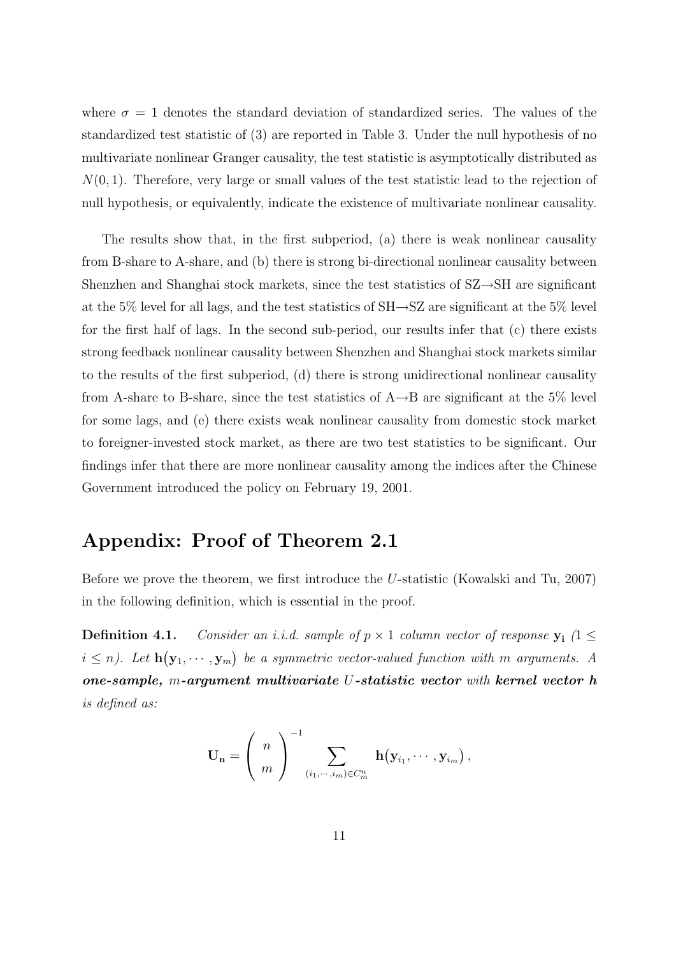where  $\sigma = 1$  denotes the standard deviation of standardized series. The values of the standardized test statistic of (3) are reported in Table 3. Under the null hypothesis of no multivariate nonlinear Granger causality, the test statistic is asymptotically distributed as  $N(0, 1)$ . Therefore, very large or small values of the test statistic lead to the rejection of null hypothesis, or equivalently, indicate the existence of multivariate nonlinear causality.

The results show that, in the first subperiod, (a) there is weak nonlinear causality from B-share to A-share, and (b) there is strong bi-directional nonlinear causality between Shenzhen and Shanghai stock markets, since the test statistics of SZ→SH are significant at the 5% level for all lags, and the test statistics of  $SH\rightarrow SZ$  are significant at the 5% level for the first half of lags. In the second sub-period, our results infer that (c) there exists strong feedback nonlinear causality between Shenzhen and Shanghai stock markets similar to the results of the first subperiod, (d) there is strong unidirectional nonlinear causality from A-share to B-share, since the test statistics of  $A\rightarrow B$  are significant at the 5% level for some lags, and (e) there exists weak nonlinear causality from domestic stock market to foreigner-invested stock market, as there are two test statistics to be significant. Our findings infer that there are more nonlinear causality among the indices after the Chinese Government introduced the policy on February 19, 2001.

# Appendix: Proof of Theorem 2.1

Before we prove the theorem, we first introduce the U-statistic (Kowalski and Tu, 2007) in the following definition, which is essential in the proof.

**Definition 4.1.** Consider an i.i.d. sample of  $p \times 1$  column vector of response  $y_i$  (1  $\leq$  $i \leq n$ ). Let **h** ¡  $\mathbf{y}_1, \cdots, \mathbf{y}_m$ ¢ be a symmetric vector-valued function with m arguments. A one-sample, m-argument multivariate U-statistic vector with kernel vector h is defined as:

$$
\mathbf{U_n} = \left(\begin{array}{c} n \\ m \end{array}\right)^{-1} \sum_{(i_1,\cdots,i_m) \in C_m^n} \mathbf{h}\big(\mathbf{y}_{i_1},\cdots,\mathbf{y}_{i_m}\big)\,,
$$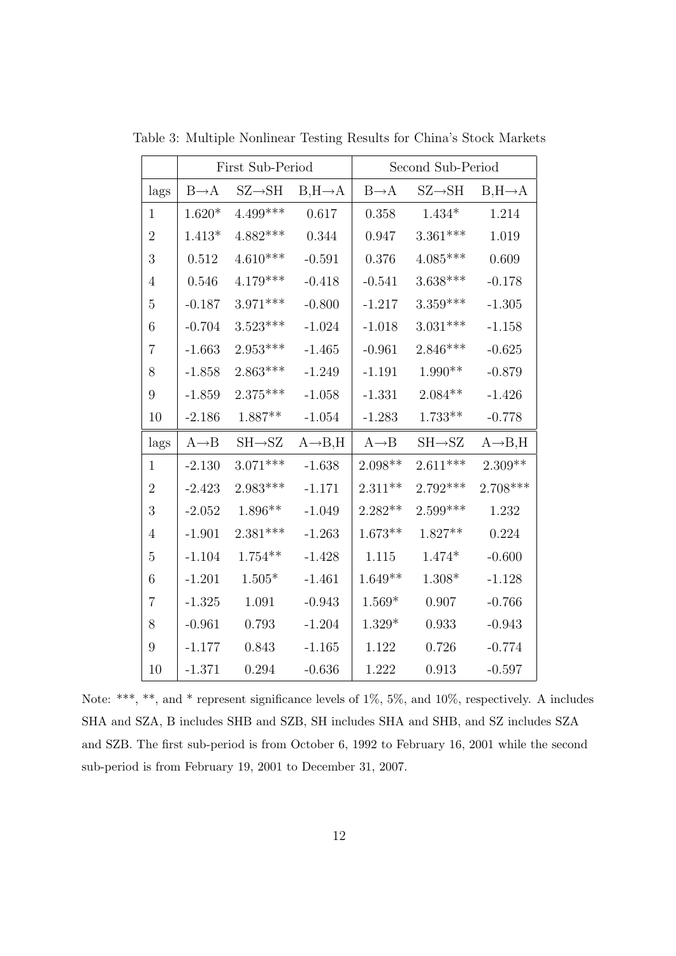|                  |                   | First Sub-Period    |                      | Second Sub-Period |                     |                      |  |  |  |
|------------------|-------------------|---------------------|----------------------|-------------------|---------------------|----------------------|--|--|--|
| lags             | $B\rightarrow A$  | $SZ \rightarrow SH$ | $B, H \rightarrow A$ | $B\rightarrow A$  | $SZ{\rightarrow}SH$ | $B, H \rightarrow A$ |  |  |  |
| $\mathbf{1}$     | $1.620*$          | $4.499***$          | 0.617                | 0.358             | $1.434*$            | 1.214                |  |  |  |
| $\sqrt{2}$       | $1.413*$          | $4.882***$          | 0.344                | 0.947             | $3.361***$          | 1.019                |  |  |  |
| 3                | 0.512             | $4.610***$          | $-0.591$             | 0.376             | $4.085***$          | 0.609                |  |  |  |
| $\overline{4}$   | 0.546             | $4.179***$          | $-0.418$             | $-0.541$          | $3.638***$          | $-0.178$             |  |  |  |
| $\overline{5}$   | $-0.187$          | $3.971***$          | $-0.800$             | $-1.217$          | $3.359***$          | $-1.305$             |  |  |  |
| 6                | $-0.704$          | $3.523***$          | $-1.024$             | $-1.018$          | $3.031***$          | $-1.158$             |  |  |  |
| $\overline{7}$   | $-1.663$          | $2.953***$          | $-1.465$             | $-0.961$          | $2.846***$          | $-0.625$             |  |  |  |
| $8\,$            | $-1.858$          | $2.863***$          | $-1.249$             | $-1.191$          | $1.990**$           | $-0.879$             |  |  |  |
| $\boldsymbol{9}$ | $-1.859$          | $2.375***$          | $-1.058$             | $-1.331$          | $2.084**$           | $-1.426$             |  |  |  |
| 10               | $-2.186$          | $1.887**$           | $-1.054$             | $-1.283$          | $1.733^{\ast\ast}$  | $-0.778$             |  |  |  |
| lags             | $A \rightarrow B$ | $SH \rightarrow SZ$ | $A \rightarrow B, H$ | $A \rightarrow B$ | $SH \rightarrow SZ$ | $A \rightarrow B, H$ |  |  |  |
| $\mathbf{1}$     | $-2.130$          | $3.071***$          | $-1.638$             | $2.098**$         | $2.611***$          | $2.309**$            |  |  |  |
| $\overline{2}$   | $-2.423$          | $2.983***$          | $-1.171$             | $2.311**$         | $2.792***$          | $2.708***$           |  |  |  |
| $\mathfrak{Z}$   | $-2.052$          | $1.896**$           | $-1.049$             | $2.282**$         | $2.599***$          | 1.232                |  |  |  |
| 4                | $-1.901$          | $2.381***$          | $-1.263$             | $1.673**$         | $1.827**$           | 0.224                |  |  |  |
| $\bf 5$          | $-1.104$          | $1.754***$          | $-1.428$             | 1.115             | $1.474*$            | $-0.600$             |  |  |  |
| 6                | $-1.201$          | $1.505*$            | $-1.461$             | $1.649**$         | $1.308*$            | $-1.128$             |  |  |  |
| $\overline{7}$   | $-1.325$          | 1.091               | $-0.943$             | $1.569*$          | 0.907               | $-0.766$             |  |  |  |
| 8                | $-0.961$          | 0.793               | $-1.204$             | $1.329*$          | 0.933               | $-0.943$             |  |  |  |
| $9\,$            | $-1.177$          | 0.843               | $-1.165$             | 1.122             | $0.726\,$           | $-0.774$             |  |  |  |
| 10               | $-1.371$          | 0.294               | $-0.636$             | 1.222             | 0.913               | $-0.597$             |  |  |  |

Table 3: Multiple Nonlinear Testing Results for China's Stock Markets

Note: \*\*\*, \*\*, and \* represent significance levels of 1%, 5%, and 10%, respectively. A includes SHA and SZA, B includes SHB and SZB, SH includes SHA and SHB, and SZ includes SZA and SZB. The first sub-period is from October 6, 1992 to February 16, 2001 while the second sub-period is from February 19, 2001 to December 31, 2007.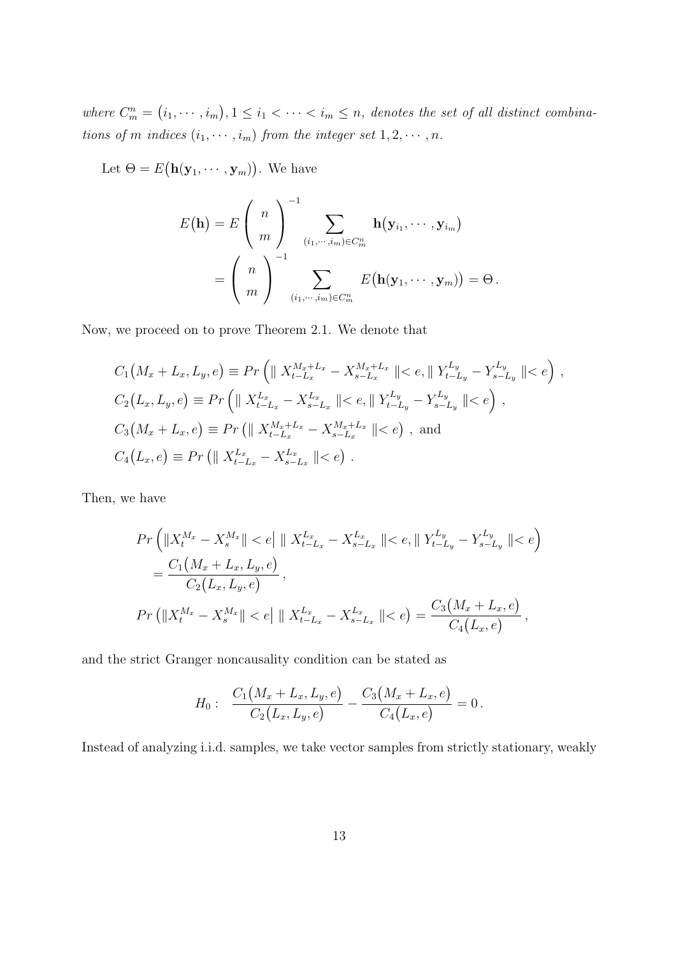where  $C_m^n =$ ¡  $i_1, \cdots, i_m$ ¢  $, 1 \leq i_1 < \cdots < i_m \leq n$ , denotes the set of all distinct combinations of m indices  $(i_1, \dots, i_m)$  from the integer set  $1, 2, \dots, n$ .

Let  $\Theta = E$ ¡  $\mathbf{h}(\mathbf{y}_1, \cdots, \mathbf{y}_m)$ ¢ . We have

$$
E(\mathbf{h}) = E\left(\begin{array}{c} n \\ m \end{array}\right)^{-1} \sum_{(i_1,\dots,i_m)\in C_m^n} \mathbf{h}(\mathbf{y}_{i_1},\dots,\mathbf{y}_{i_m})
$$

$$
= \left(\begin{array}{c} n \\ m \end{array}\right)^{-1} \sum_{(i_1,\dots,i_m)\in C_m^n} E(\mathbf{h}(\mathbf{y}_1,\dots,\mathbf{y}_m)) = \Theta.
$$

Now, we proceed on to prove Theorem 2.1. We denote that

$$
C_1(M_x + L_x, L_y, e) \equiv Pr\left(\|X_{t-L_x}^{M_x + L_x} - X_{s-L_x}^{M_x + L_x}\| < e, \|Y_{t-L_y}^{L_y} - Y_{s-L_y}^{L_y}\| < e\right),
$$
  
\n
$$
C_2(L_x, L_y, e) \equiv Pr\left(\|X_{t-L_x}^{L_x} - X_{s-L_x}^{L_x}\| < e, \|Y_{t-L_y}^{L_y} - Y_{s-L_y}^{L_y}\| < e\right),
$$
  
\n
$$
C_3(M_x + L_x, e) \equiv Pr\left(\|X_{t-L_x}^{M_x + L_x} - X_{s-L_x}^{M_x + L_x}\| < e\right),
$$
 and  
\n
$$
C_4(L_x, e) \equiv Pr\left(\|X_{t-L_x}^{L_x} - X_{s-L_x}^{L_x}\| < e\right).
$$

Then, we have

$$
Pr\left(\|X_t^{M_x} - X_s^{M_x}\| < e\| \|\ X_{t-L_x}^{L_x} - X_{s-L_x}^{L_x}\| < e, \|\ Y_{t-L_y}^{L_y} - Y_{s-L_y}^{L_y}\| < e\right)
$$
\n
$$
= \frac{C_1\left(M_x + L_x, L_y, e\right)}{C_2\left(L_x, L_y, e\right)},
$$
\n
$$
Pr\left(\|X_t^{M_x} - X_s^{M_x}\| < e\| \|\ X_{t-L_x}^{L_x} - X_{s-L_x}^{L_x}\| < e\right) = \frac{C_3\left(M_x + L_x, e\right)}{C_4\left(L_x, e\right)},
$$

and the strict Granger noncausality condition can be stated as

$$
H_0: \frac{C_1(M_x+L_x,L_y,e)}{C_2(L_x,L_y,e)}-\frac{C_3(M_x+L_x,e)}{C_4(L_x,e)}=0.
$$

Instead of analyzing i.i.d. samples, we take vector samples from strictly stationary, weakly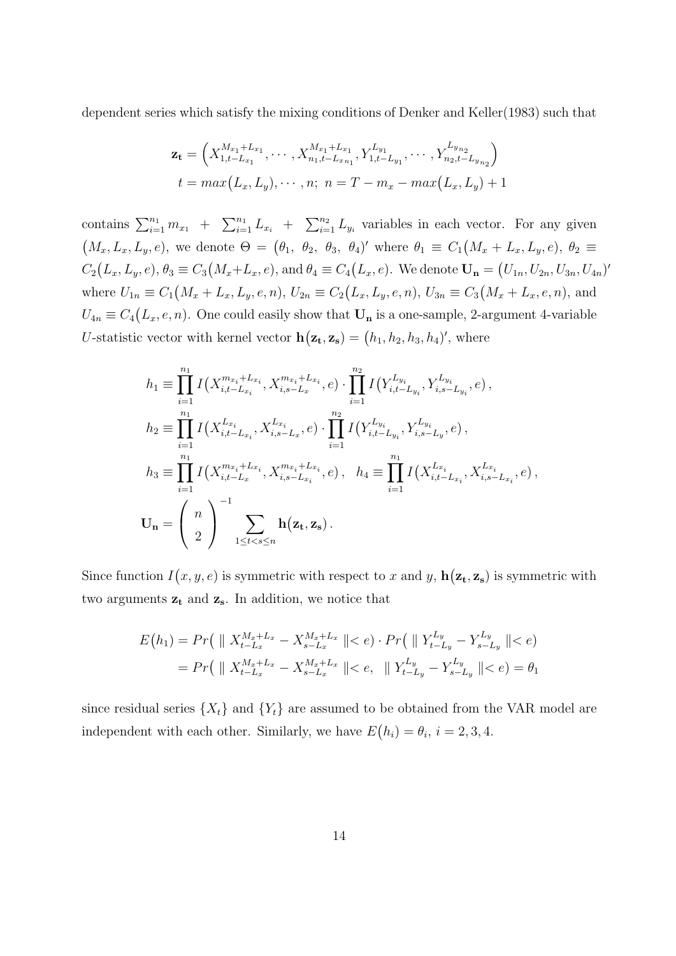dependent series which satisfy the mixing conditions of Denker and Keller(1983) such that

$$
\mathbf{z_t} = \left( X_{1,t-L_{x_1}}^{M_{x_1}+L_{x_1}}, \cdots, X_{n_1,t-L_{x_{n_1}}}^{M_{x_1}+L_{x_1}}, Y_{1,t-L_{y_1}}^{L_{y_1}}, \cdots, Y_{n_2,t-L_{y_{n_2}}}^{L_{y_{n_2}}} \right)
$$
  

$$
t = max(L_x, L_y), \cdots, n; \ n = T - m_x - max(L_x, L_y) + 1
$$

contains  $\sum_{i=1}^{n_1} m_{x_1}$  +  $\sum n_1$  $\sum_{i=1}^{n_1} L_{x_i}$  +  $\sum_{n_2}$  $\sum_{i=1}^{n_2} L_{y_i}$  variables in each vector. For any given  $(M_x, L_x, L_y, e)$ , we denote  $\Theta = (\theta_1, \theta_2, \theta_3, \theta_4)'$  where  $\theta_1 \equiv C_1$ ¡  $M_x + L_x, L_y, e$ ,  $\theta_2 \equiv$  $C_2$ ¡  $L_x, L_y, e$ ,  $\theta_3 \equiv C_3$ ¡  $M_x+L_x, e$ , and  $\theta_4 \equiv C_4$ ¡  $L_x, e$ ). We denote  $U_n =$ ¡  $(U_{1n}, U_{2n}, U_{3n}, U_{4n})'$ where  $U_{1n} \equiv C_1(M_x + L_x, L_y, e, n)$ ,  $U_{2n} \equiv C_2(L_x, L_y, e, n)$ ,  $U_{3n} \equiv C_3(M_x + L_x, e, n)$ , and  $\frac{1}{2}$  $U_{4n} \equiv C_4(L_x, e, n)$ . One could easily show that  $U_n$  is a one-sample, 2-argument 4-variable ∶' U-statistic vector with kernel vector h  $(z_t, z_s) = (h_1, h_2, h_3, h_4)'$ , where

$$
h_{1} \equiv \prod_{i=1}^{n_{1}} I(X_{i,t-L_{x_{i}}}^{m_{x_{i}}+L_{x_{i}}}, X_{i,s-L_{x}}^{m_{x_{i}}+L_{x_{i}}}, e) \cdot \prod_{i=1}^{n_{2}} I(Y_{i,t-L_{y_{i}}}^{L_{y_{i}}}, Y_{i,s-L_{y_{i}}}^{L_{y_{i}}}, e),
$$
  
\n
$$
h_{2} \equiv \prod_{i=1}^{n_{1}} I(X_{i,t-L_{x_{i}}}^{L_{x_{i}}}, X_{i,s-L_{x}}^{L_{x_{i}}}, e) \cdot \prod_{i=1}^{n_{2}} I(Y_{i,t-L_{y_{i}}}^{L_{y_{i}}}, Y_{i,s-L_{y}}^{L_{y_{i}}}, e),
$$
  
\n
$$
h_{3} \equiv \prod_{i=1}^{n_{1}} I(X_{i,t-L_{x}}^{m_{x_{i}}+L_{x_{i}}}, X_{i,s-L_{x_{i}}}^{m_{x_{i}}+L_{x_{i}}}, e), \quad h_{4} \equiv \prod_{i=1}^{n_{1}} I(X_{i,t-L_{x_{i}}}^{L_{x_{i}}}, X_{i,s-L_{x_{i}}}^{L_{x_{i}}}, e),
$$
  
\n
$$
U_{n} = \begin{pmatrix} n \\ 2 \end{pmatrix}^{-1} \sum_{1 \leq t < s \leq n} h(z_{t}, z_{s}).
$$

Since function I ¡  $(x, y, e)$  is symmetric with respect to x and y, h ¡  $(z_t, z_s)$  is symmetric with two arguments  $z_t$  and  $z_s$ . In addition, we notice that

$$
E(h_1) = Pr\left( \| X_{t-L_x}^{M_x + L_x} - X_{s-L_x}^{M_x + L_x} \| < e \right) \cdot Pr\left( \| Y_{t-L_y}^{L_y} - Y_{s-L_y}^{L_y} \| < e \right)
$$
\n
$$
= Pr\left( \| X_{t-L_x}^{M_x + L_x} - X_{s-L_x}^{M_x + L_x} \| < e, \| Y_{t-L_y}^{L_y} - Y_{s-L_y}^{L_y} \| < e \right) = \theta_1
$$

since residual series  $\{X_t\}$  and  $\{Y_t\}$  are assumed to be obtained from the VAR model are independent with each other. Similarly, we have  $E$ ¡  $h_i$ ) =  $\theta_i$ , i = 2, 3, 4.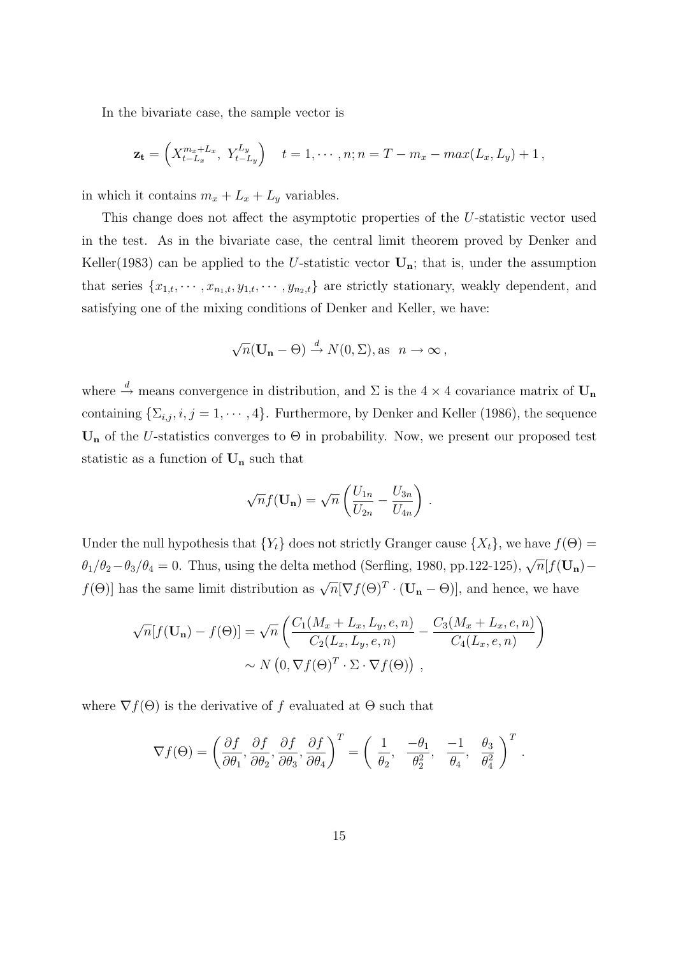In the bivariate case, the sample vector is

$$
\mathbf{z_t} = \left( X_{t-L_x}^{m_x+L_x}, Y_{t-L_y}^{L_y} \right) \quad t = 1, \cdots, n; n = T - m_x - max(L_x, L_y) + 1,
$$

in which it contains  $m_x + L_x + L_y$  variables.

This change does not affect the asymptotic properties of the U-statistic vector used in the test. As in the bivariate case, the central limit theorem proved by Denker and Keller(1983) can be applied to the U-statistic vector  $U_n$ ; that is, under the assumption that series  $\{x_{1,t}, \dots, x_{n_1,t}, y_{1,t}, \dots, y_{n_2,t}\}$  are strictly stationary, weakly dependent, and satisfying one of the mixing conditions of Denker and Keller, we have:

$$
\sqrt{n}(\mathbf{U_n} - \Theta) \stackrel{d}{\rightarrow} N(0, \Sigma), \text{as } n \to \infty,
$$

where  $\stackrel{d}{\rightarrow}$  means convergence in distribution, and  $\Sigma$  is the 4 × 4 covariance matrix of  $\mathbf{U_n}$ containing  $\{\Sigma_{i,j}, i, j = 1, \cdots, 4\}$ . Furthermore, by Denker and Keller (1986), the sequence  $U_n$  of the U-statistics converges to  $\Theta$  in probability. Now, we present our proposed test statistic as a function of  $U_n$  such that

$$
\sqrt{n} f(\mathbf{U_n}) = \sqrt{n} \left( \frac{U_{1n}}{U_{2n}} - \frac{U_{3n}}{U_{4n}} \right) .
$$

Under the null hypothesis that  ${Y_t}$  does not strictly Granger cause  ${X_t}$ , we have  $f(\Theta)$  =  $\theta_1/\theta_2-\theta_3/\theta_4=0$ . Thus, using the delta method (Serfling, 1980, pp.122-125),  $\sqrt{n}[f(\mathbf{U_n})$  $f(\Theta)$  has the same limit distribution as  $\sqrt{n}[\nabla f(\Theta)^T \cdot (\mathbf{U_n} - \Theta)]$ , and hence, we have

$$
\sqrt{n}[f(\mathbf{U_n}) - f(\Theta)] = \sqrt{n} \left( \frac{C_1(M_x + L_x, L_y, e, n)}{C_2(L_x, L_y, e, n)} - \frac{C_3(M_x + L_x, e, n)}{C_4(L_x, e, n)} \right) \sim N(0, \nabla f(\Theta)^T \cdot \Sigma \cdot \nabla f(\Theta)),
$$

where  $\nabla f(\Theta)$  is the derivative of f evaluated at  $\Theta$  such that

$$
\nabla f(\Theta) = \left(\frac{\partial f}{\partial \theta_1}, \frac{\partial f}{\partial \theta_2}, \frac{\partial f}{\partial \theta_3}, \frac{\partial f}{\partial \theta_4}\right)^T = \left(\begin{array}{cc} 1 & -\theta_1 \\ \theta_2, & \frac{\theta_2}{\theta_2}, & \frac{-1}{\theta_4}, & \frac{\theta_3}{\theta_4^2} \end{array}\right)^T.
$$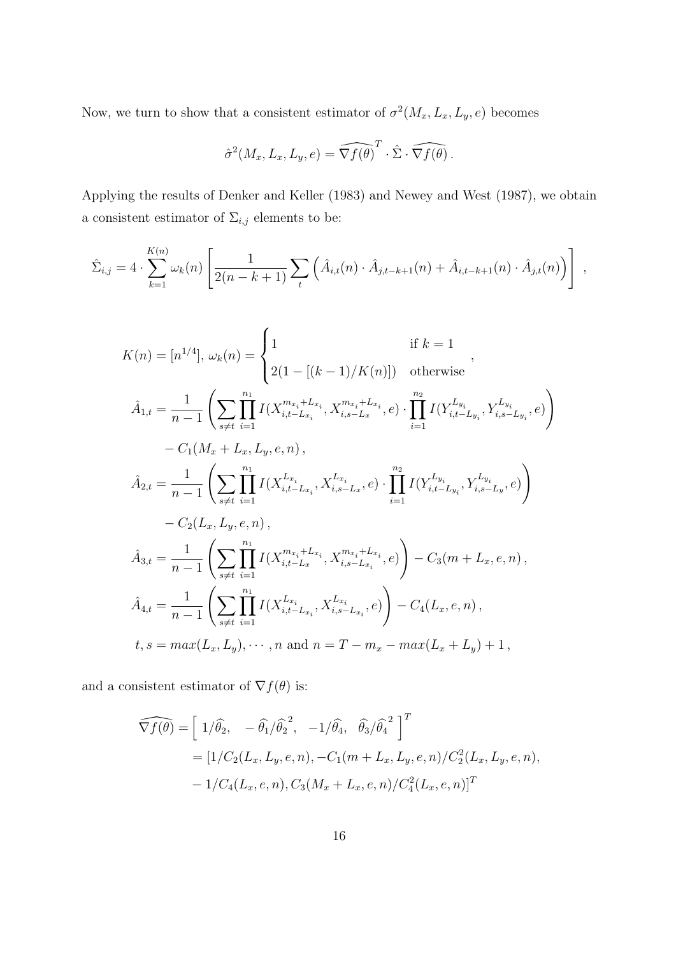Now, we turn to show that a consistent estimator of  $\sigma^2(M_x, L_x, L_y, e)$  becomes

$$
\hat{\sigma}^2(M_x, L_x, L_y, e) = \widehat{\nabla f(\theta)}^T \cdot \hat{\Sigma} \cdot \widehat{\nabla f(\theta)}.
$$

Applying the results of Denker and Keller (1983) and Newey and West (1987), we obtain a consistent estimator of  $\Sigma_{i,j}$  elements to be:

$$
\hat{\Sigma}_{i,j} = 4 \cdot \sum_{k=1}^{K(n)} \omega_k(n) \left[ \frac{1}{2(n-k+1)} \sum_t \left( \hat{A}_{i,t}(n) \cdot \hat{A}_{j,t-k+1}(n) + \hat{A}_{i,t-k+1}(n) \cdot \hat{A}_{j,t}(n) \right) \right],
$$

$$
K(n) = [n^{1/4}], \omega_k(n) = \begin{cases} 1 & \text{if } k = 1 \\ 2(1 - [(k - 1)/K(n)]) & \text{otherwise} \end{cases},
$$
  

$$
\hat{A}_{1,t} = \frac{1}{n-1} \left( \sum_{s \neq t} \prod_{i=1}^{n_1} I(X_{i,t-L_{x_i}}^{m_{x_i}+L_{x_i}}, X_{i,s-L_{x}}^{m_{x_i}+L_{x_i}}, e) \cdot \prod_{i=1}^{n_2} I(Y_{i,t-L_{y_i}}^{L_{y_i}}, Y_{i,s-L_{y_i}}^{L_{y_i}}, e) \right) - C_1(M_x + L_x, L_y, e, n),
$$
  

$$
\hat{A}_{2,t} = \frac{1}{n-1} \left( \sum_{s \neq t} \prod_{i=1}^{n_1} I(X_{i,t-L_{x_i}}^{L_{x_i}}, X_{i,s-L_{x}}^{L_{x_i}}, e) \cdot \prod_{i=1}^{n_2} I(Y_{i,t-L_{y_i}}^{L_{y_i}}, Y_{i,s-L_{y}}^{L_{y_i}}, e) \right) - C_2(L_x, L_y, e, n),
$$
  

$$
\hat{A}_{3,t} = \frac{1}{n-1} \left( \sum_{s \neq t} \prod_{i=1}^{n_1} I(X_{i,t-L_{x}}^{m_{x_i}+L_{x_i}}, X_{i,s-L_{x_i}}^{m_{x_i}+L_{x_i}}, e) \right) - C_3(m + L_x, e, n),
$$
  

$$
\hat{A}_{4,t} = \frac{1}{n-1} \left( \sum_{s \neq t} \prod_{i=1}^{n_1} I(X_{i,t-L_{x_i}}^{L_{x_i}}, X_{i,s-L_{x_i}}^{L_{x_i}}, e) \right) - C_4(L_x, e, n),
$$
  

$$
t, s = max(L_x, L_y), \cdots, n \text{ and } n = T - m_x - max(L_x + L_y) + 1,
$$

and a consistent estimator of  $\nabla f(\theta)$  is:

$$
\widehat{\nabla f(\theta)} = \left[ 1/\hat{\theta_2}, \quad -\hat{\theta_1}/\hat{\theta_2}^2, \quad -1/\hat{\theta_4}, \quad \hat{\theta_3}/\hat{\theta_4}^2 \right]^T
$$
  
=  $[1/C_2(L_x, L_y, e, n), -C_1(m + L_x, L_y, e, n)/C_2^2(L_x, L_y, e, n),$   
 $-1/C_4(L_x, e, n), C_3(M_x + L_x, e, n)/C_4^2(L_x, e, n)]^T$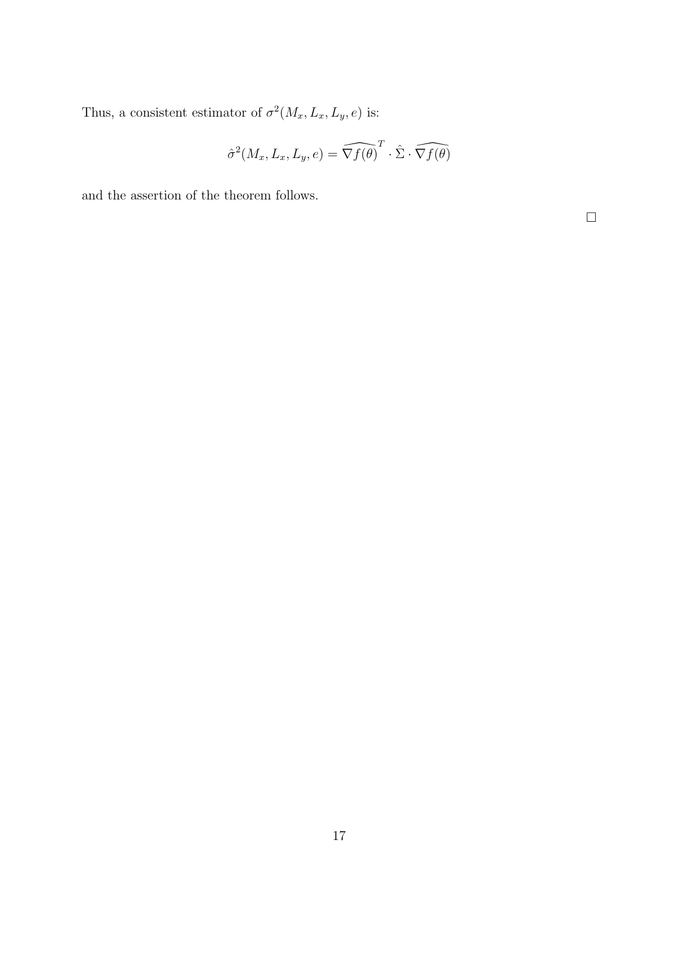Thus, a consistent estimator of  $\sigma^2(M_x, L_x, L_y, e)$  is:

$$
\hat{\sigma}^2(M_x, L_x, L_y, e) = \widehat{\nabla f(\theta)}^T \cdot \hat{\Sigma} \cdot \widehat{\nabla f(\theta)}
$$

and the assertion of the theorem follows.

 $\hfill \square$